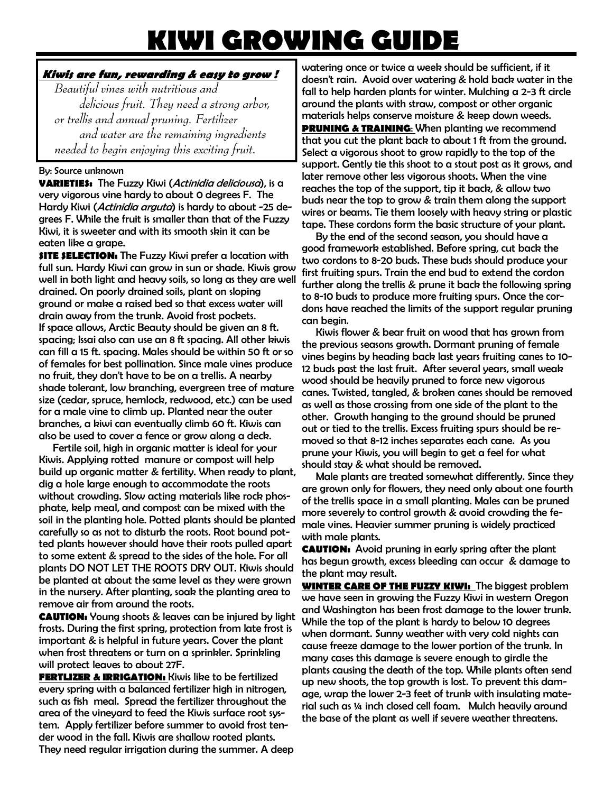## **KIWI GROWING GUIDE**

## **Kiwis are fun, rewarding & easy to grow !**

 *Beautiful vines with nutritious and delicious fruit. They need a strong arbor, or trellis and annual pruning. Fertilizer and water are the remaining ingredients needed to begin enjoying this exciting fruit*.

## By: Source unknown

**VARIETIES:** The Fuzzy Kiwi (Actinidia deliciousa), is a very vigorous vine hardy to about 0 degrees F. The Hardy Kiwi (*Actinidia arguta*) is hardy to about -25 degrees F. While the fruit is smaller than that of the Fuzzy Kiwi, it is sweeter and with its smooth skin it can be eaten like a grape.

**SITE SELECTION:** The Fuzzy Kiwi prefer a location with full sun. Hardy Kiwi can grow in sun or shade. Kiwis grow well in both light and heavy soils, so long as they are well drained. On poorly drained soils, plant on sloping ground or make a raised bed so that excess water will drain away from the trunk. Avoid frost pockets. If space allows, Arctic Beauty should be given an 8 ft. spacing; Issai also can use an 8 ft spacing. All other kiwis can fill a 15 ft. spacing. Males should be within 50 ft or so of females for best pollination. Since male vines produce no fruit, they don't have to be on a trellis. A nearby shade tolerant, low branching, evergreen tree of mature size (cedar, spruce, hemlock, redwood, etc.) can be used for a male vine to climb up. Planted near the outer branches, a kiwi can eventually climb 60 ft. Kiwis can also be used to cover a fence or grow along a deck.

 Fertile soil, high in organic matter is ideal for your Kiwis. Applying rotted manure or compost will help build up organic matter & fertility. When ready to plant, dig a hole large enough to accommodate the roots without crowding. Slow acting materials like rock phosphate, kelp meal, and compost can be mixed with the soil in the planting hole. Potted plants should be planted carefully so as not to disturb the roots. Root bound potted plants however should have their roots pulled apart to some extent & spread to the sides of the hole. For all plants DO NOT LET THE ROOTS DRY OUT. Kiwis should be planted at about the same level as they were grown in the nursery. After planting, soak the planting area to remove air from around the roots.

**CAUTION:** Young shoots & leaves can be injured by light frosts. During the first spring, protection from late frost is important & is helpful in future years. Cover the plant when frost threatens or turn on a sprinkler. Sprinkling will protect leaves to about 27F.

**FERTLIZER & IRRIGATION:** Kiwis like to be fertilized every spring with a balanced fertilizer high in nitrogen, such as fish meal. Spread the fertilizer throughout the area of the vineyard to feed the Kiwis surface root system. Apply fertilizer before summer to avoid frost tender wood in the fall. Kiwis are shallow rooted plants. They need regular irrigation during the summer. A deep watering once or twice a week should be sufficient, if it doesn't rain. Avoid over watering & hold back water in the fall to help harden plants for winter. Mulching a 2-3 ft circle around the plants with straw, compost or other organic materials helps conserve moisture & keep down weeds.

**PRUNING & TRAINING:** When planting we recommend that you cut the plant back to about 1 ft from the ground. Select a vigorous shoot to grow rapidly to the top of the support. Gently tie this shoot to a stout post as it grows, and later remove other less vigorous shoots. When the vine reaches the top of the support, tip it back, & allow two buds near the top to grow & train them along the support wires or beams. Tie them loosely with heavy string or plastic tape. These cordons form the basic structure of your plant.

 By the end of the second season, you should have a good framework established. Before spring, cut back the two cordons to 8-20 buds. These buds should produce your first fruiting spurs. Train the end bud to extend the cordon further along the trellis & prune it back the following spring to 8-10 buds to produce more fruiting spurs. Once the cordons have reached the limits of the support regular pruning can begin.

 Kiwis flower & bear fruit on wood that has grown from the previous seasons growth. Dormant pruning of female vines begins by heading back last years fruiting canes to 10- 12 buds past the last fruit. After several years, small weak wood should be heavily pruned to force new vigorous canes. Twisted, tangled, & broken canes should be removed as well as those crossing from one side of the plant to the other. Growth hanging to the ground should be pruned out or tied to the trellis. Excess fruiting spurs should be removed so that 8-12 inches separates each cane. As you prune your Kiwis, you will begin to get a feel for what should stay & what should be removed.

 Male plants are treated somewhat differently. Since they are grown only for flowers, they need only about one fourth of the trellis space in a small planting. Males can be pruned more severely to control growth & avoid crowding the female vines. Heavier summer pruning is widely practiced with male plants.

**CAUTION:** Avoid pruning in early spring after the plant has begun growth, excess bleeding can occur & damage to the plant may result.

**WINTER CARE OF THE FUZZY KIWI:** The biggest problem we have seen in growing the Fuzzy Kiwi in western Oregon and Washington has been frost damage to the lower trunk. While the top of the plant is hardy to below 10 degrees when dormant. Sunny weather with very cold nights can cause freeze damage to the lower portion of the trunk. In many cases this damage is severe enough to girdle the plants causing the death of the top. While plants often send up new shoots, the top growth is lost. To prevent this damage, wrap the lower 2-3 feet of trunk with insulating material such as 1/4 inch closed cell foam. Mulch heavily around the base of the plant as well if severe weather threatens.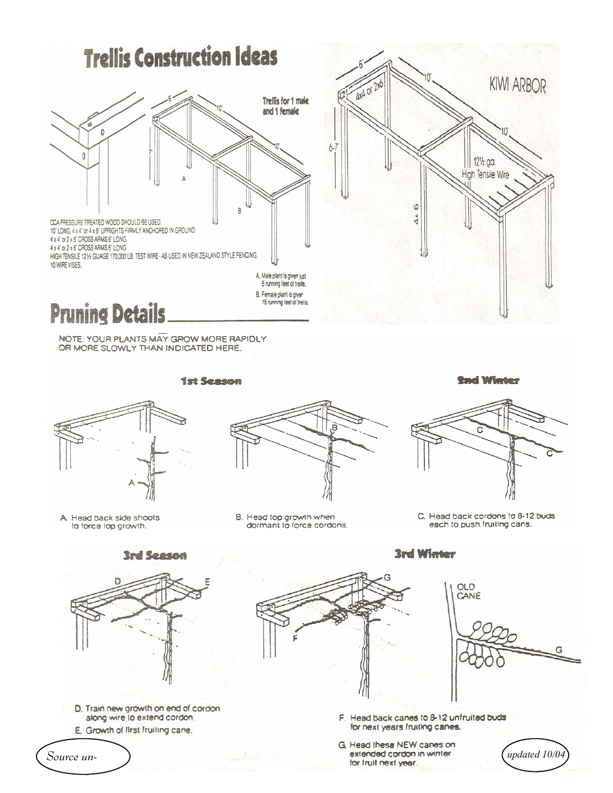

NOTE: YOUR PLANTS MAY GROW MORE RAPIDLY OR MORE SLOWLY THAN INDICATED HERE.

**1st Season** 





A Head back side shoots to force top growth.



B. Head top growth when dormant to force cordons.

C. Head back cordons to 8-12 buds each to push fruiting cans.



- D. Train new growth on end of cordon along wire to extend cordon.
- E. Growth of first fruiting cane.

Source un-



**3rd Winter** 



updated 10/04

F. Head back canes to 8-12 unfruited buds for next years fruiting canes.

G. Head these NEW canes on extended cordon in winter for truit next year.